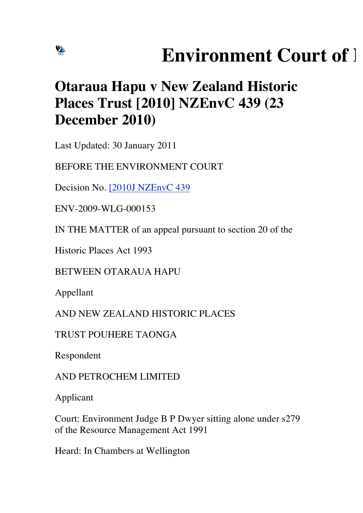## **Environment Court of 1**

## **Otaraua Hapu v New Zealand Historic Places Trust [2010] NZEnvC 439 (23 December 2010)**

Last Updated: 30 January 2011

BEFORE THE ENVIRONMENT COURT

Decision No. [2010J NZEnvC 439

ENV-2009-WLG-000153

IN THE MATTER of an appeal pursuant to section 20 of the

Historic Places Act 1993

BETWEEN OTARAUA HAPU

Appellant

VE

AND NEW ZEALAND HISTORIC PLACES

TRUST POUHERE TAONGA

Respondent

AND PETROCHEM LIMITED

Applicant

Court: Environment Judge B P Dwyer sitting alone under s279 of the Resource Management Act 1991

Heard: In Chambers at Wellington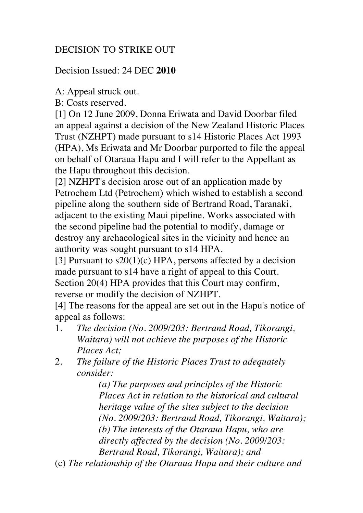## DECISION TO STRIKE OUT

Decision Issued: 24 DEC **2010**

A: Appeal struck out.

B: Costs reserved.

[1] On 12 June 2009, Donna Eriwata and David Doorbar filed an appeal against a decision of the New Zealand Historic Places Trust (NZHPT) made pursuant to s14 Historic Places Act 1993 (HPA), Ms Eriwata and Mr Doorbar purported to file the appeal on behalf of Otaraua Hapu and I will refer to the Appellant as the Hapu throughout this decision.

[2] NZHPT's decision arose out of an application made by Petrochem Ltd (Petrochem) which wished to establish a second pipeline along the southern side of Bertrand Road, Taranaki, adjacent to the existing Maui pipeline. Works associated with the second pipeline had the potential to modify, damage or destroy any archaeological sites in the vicinity and hence an authority was sought pursuant to s14 HPA.

[3] Pursuant to  $s20(1)(c)$  HPA, persons affected by a decision made pursuant to s14 have a right of appeal to this Court. Section 20(4) HPA provides that this Court may confirm, reverse or modify the decision of NZHPT.

[4] The reasons for the appeal are set out in the Hapu's notice of appeal as follows:

- 1. *The decision (No. 2009/203: Bertrand Road, Tikorangi, Waitara) will not achieve the purposes of the Historic Places Act;*
- 2. *The failure of the Historic Places Trust to adequately consider:*

*(a) The purposes and principles of the Historic Places Act in relation to the historical and cultural heritage value of the sites subject to the decision (No. 2009/203: Bertrand Road, Tikorangi, Waitara); (b) The interests of the Otaraua Hapu, who are directly affected by the decision (No. 2009/203: Bertrand Road, Tikorangi, Waitara); and*

(c) *The relationship of the Otaraua Hapu and their culture and*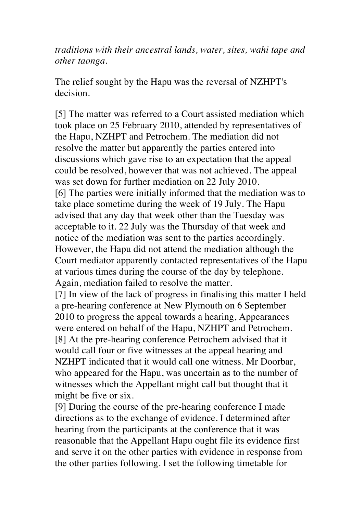*traditions with their ancestral lands, water, sites, wahi tape and other taonga.*

The relief sought by the Hapu was the reversal of NZHPT's decision.

[5] The matter was referred to a Court assisted mediation which took place on 25 February 2010, attended by representatives of the Hapu, NZHPT and Petrochem. The mediation did not resolve the matter but apparently the parties entered into discussions which gave rise to an expectation that the appeal could be resolved, however that was not achieved. The appeal was set down for further mediation on 22 July 2010. [6] The parties were initially informed that the mediation was to take place sometime during the week of 19 July. The Hapu advised that any day that week other than the Tuesday was acceptable to it. 22 July was the Thursday of that week and notice of the mediation was sent to the parties accordingly. However, the Hapu did not attend the mediation although the Court mediator apparently contacted representatives of the Hapu at various times during the course of the day by telephone. Again, mediation failed to resolve the matter.

[7] In view of the lack of progress in finalising this matter I held a pre-hearing conference at New Plymouth on 6 September 2010 to progress the appeal towards a hearing, Appearances were entered on behalf of the Hapu, NZHPT and Petrochem. [8] At the pre-hearing conference Petrochem advised that it would call four or five witnesses at the appeal hearing and NZHPT indicated that it would call one witness. Mr Doorbar, who appeared for the Hapu, was uncertain as to the number of witnesses which the Appellant might call but thought that it might be five or six.

[9] During the course of the pre-hearing conference I made directions as to the exchange of evidence. I determined after hearing from the participants at the conference that it was reasonable that the Appellant Hapu ought file its evidence first and serve it on the other parties with evidence in response from the other parties following. I set the following timetable for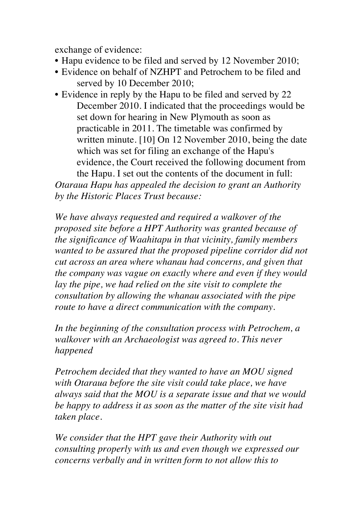exchange of evidence:

- Hapu evidence to be filed and served by 12 November 2010;
- Evidence on behalf of NZHPT and Petrochem to be filed and served by 10 December 2010;
- Evidence in reply by the Hapu to be filed and served by 22 December 2010. I indicated that the proceedings would be set down for hearing in New Plymouth as soon as practicable in 2011. The timetable was confirmed by written minute. [10] On 12 November 2010, being the date which was set for filing an exchange of the Hapu's evidence, the Court received the following document from the Hapu. I set out the contents of the document in full:

*Otaraua Hapu has appealed the decision to grant an Authority by the Historic Places Trust because:*

*We have always requested and required a walkover of the proposed site before a HPT Authority was granted because of the significance of Waahitapu in that vicinity, family members wanted to be assured that the proposed pipeline corridor did not cut across an area where whanau had concerns, and given that the company was vague on exactly where and even if they would lay the pipe, we had relied on the site visit to complete the consultation by allowing the whanau associated with the pipe route to have a direct communication with the company.*

*In the beginning of the consultation process with Petrochem, a walkover with an Archaeologist was agreed to. This never happened*

*Petrochem decided that they wanted to have an MOU signed with Otaraua before the site visit could take place, we have always said that the MOU is a separate issue and that we would be happy to address it as soon as the matter of the site visit had taken place.*

*We consider that the HPT gave their Authority with out consulting properly with us and even though we expressed our concerns verbally and in written form to not allow this to*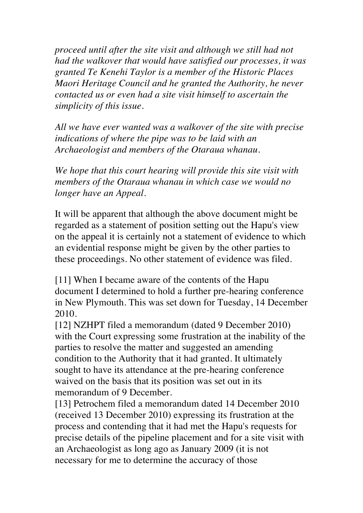*proceed until after the site visit and although we still had not had the walkover that would have satisfied our processes, it was granted Te Kenehi Taylor is a member of the Historic Places Maori Heritage Council and he granted the Authority, he never contacted us or even had a site visit himself to ascertain the simplicity of this issue.*

*All we have ever wanted was a walkover of the site with precise indications of where the pipe was to be laid with an Archaeologist and members of the Otaraua whanau.*

*We hope that this court hearing will provide this site visit with members of the Otaraua whanau in which case we would no longer have an Appeal.*

It will be apparent that although the above document might be regarded as a statement of position setting out the Hapu's view on the appeal it is certainly not a statement of evidence to which an evidential response might be given by the other parties to these proceedings. No other statement of evidence was filed.

[11] When I became aware of the contents of the Hapu document I determined to hold a further pre-hearing conference in New Plymouth. This was set down for Tuesday, 14 December 2010.

[12] NZHPT filed a memorandum (dated 9 December 2010) with the Court expressing some frustration at the inability of the parties to resolve the matter and suggested an amending condition to the Authority that it had granted. It ultimately sought to have its attendance at the pre-hearing conference waived on the basis that its position was set out in its memorandum of 9 December.

[13] Petrochem filed a memorandum dated 14 December 2010 (received 13 December 2010) expressing its frustration at the process and contending that it had met the Hapu's requests for precise details of the pipeline placement and for a site visit with an Archaeologist as long ago as January 2009 (it is not necessary for me to determine the accuracy of those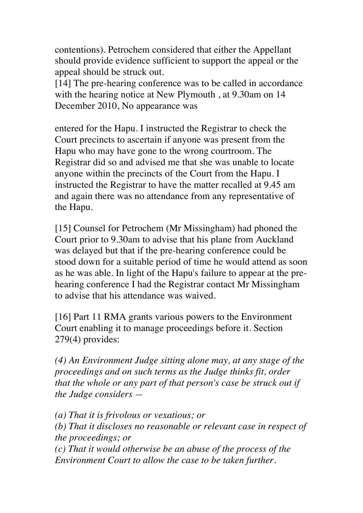contentions). Petrochem considered that either the Appellant should provide evidence sufficient to support the appeal or the appeal should be struck out.

[14] The pre-hearing conference was to be called in accordance with the hearing notice at New Plymouth , at 9.30am on 14 December 2010, No appearance was

entered for the Hapu. I instructed the Registrar to check the Court precincts to ascertain if anyone was present from the Hapu who may have gone to the wrong courtroom. The Registrar did so and advised me that she was unable to locate anyone within the precincts of the Court from the Hapu. I instructed the Registrar to have the matter recalled at 9.45 am and again there was no attendance from any representative of the Hapu.

[15] Counsel for Petrochem (Mr Missingham) had phoned the Court prior to 9.30am to advise that his plane from Auckland was delayed but that if the pre-hearing conference could be stood down for a suitable period of time he would attend as soon as he was able. In light of the Hapu's failure to appear at the prehearing conference I had the Registrar contact Mr Missingham to advise that his attendance was waived.

[16] Part 11 RMA grants various powers to the Environment Court enabling it to manage proceedings before it. Section 279(4) provides:

*(4) An Environment Judge sitting alone may, at any stage of the proceedings and on such terms as the Judge thinks fit, order that the whole or any part of that person's case be struck out if the Judge considers —*

*(a) That it is frivolous or vexatious; or*

*(b) That it discloses no reasonable or relevant case in respect of the proceedings; or*

*(c) That it would otherwise be an abuse of the process of the Environment Court to allow the case to be taken further.*